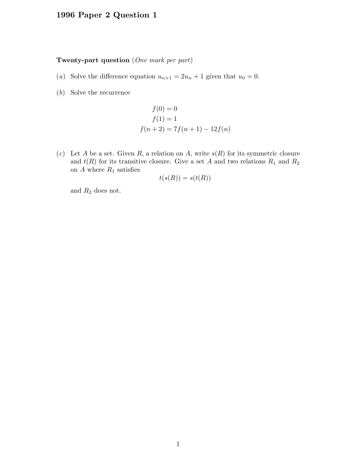## 1996 Paper 2 Question 1

## Twenty-part question (One mark per part)

- (a) Solve the difference equation  $u_{n+1} = 2u_n + 1$  given that  $u_0 = 0$ .
- (b) Solve the recurrence

$$
f(0) = 0
$$
  
 
$$
f(1) = 1
$$
  
 
$$
f(n + 2) = 7f(n + 1) - 12f(n)
$$

(c) Let A be a set. Given R, a relation on A, write  $s(R)$  for its symmetric closure and  $t(R)$  for its transitive closure. Give a set A and two relations  $R_1$  and  $R_2$ on  $A$  where  $R_1$  satisfies

$$
t(s(R)) = s(t(R))
$$

and  $R_2$  does not.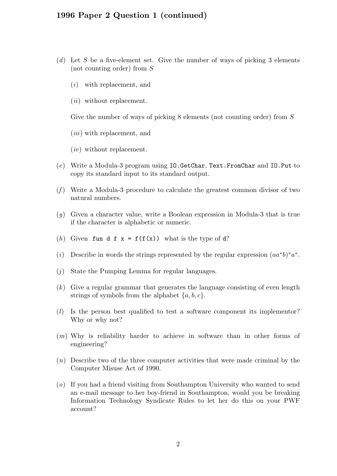## 1996 Paper 2 Question 1 (continued)

- (d) Let S be a five-element set. Give the number of ways of picking 3 elements (not counting order) from S
	- (i) with replacement, and
	- (*ii*) without replacement.

Give the number of ways of picking 8 elements (not counting order) from S

- $(iii)$  with replacement, and
- $(iv)$  without replacement.
- (e) Write a Modula-3 program using IO.GetChar, Text.FromChar and IO.Put to copy its standard input to its standard output.
- $(f)$  Write a Modula-3 procedure to calculate the greatest common divisor of two natural numbers.
- (g) Given a character value, write a Boolean expression in Modula-3 that is true if the character is alphabetic or numeric.
- (h) Given fun d f  $x = f(f(x))$  what is the type of d?
- (i) Describe in words the strings represented by the regular expression  $(aa^*b)^*a^*$ .
- (j) State the Pumping Lemma for regular languages.
- $(k)$  Give a regular grammar that generates the language consisting of even length strings of symbols from the alphabet  $\{a, b, c\}$ .
- (l) Is the person best qualified to test a software component its implementor? Why or why not?
- (m) Why is reliability harder to achieve in software than in other forms of engineering?
- (n) Describe two of the three computer activities that were made criminal by the Computer Misuse Act of 1990.
- (o) If you had a friend visiting from Southampton University who wanted to send an e-mail message to her boy-friend in Southampton, would you be breaking Information Technology Syndicate Rules to let her do this on your PWF account?